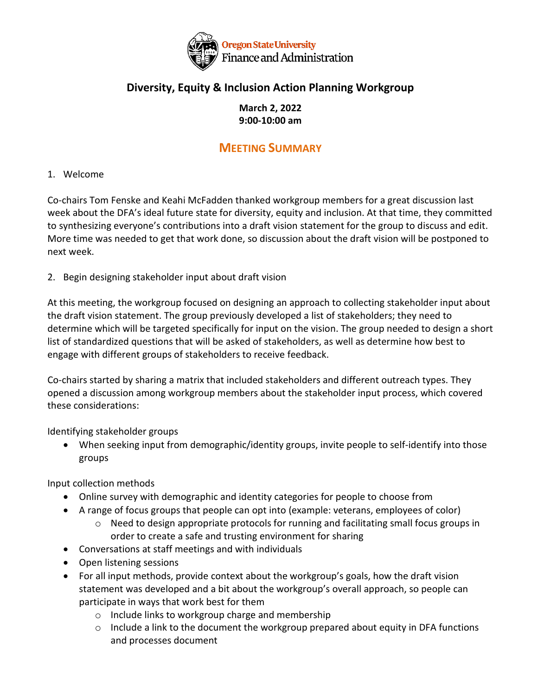

## **Diversity, Equity & Inclusion Action Planning Workgroup**

### **March 2, 2022 9:00-10:00 am**

# **MEETING SUMMARY**

#### 1. Welcome

Co-chairs Tom Fenske and Keahi McFadden thanked workgroup members for a great discussion last week about the DFA's ideal future state for diversity, equity and inclusion. At that time, they committed to synthesizing everyone's contributions into a draft vision statement for the group to discuss and edit. More time was needed to get that work done, so discussion about the draft vision will be postponed to next week.

2. Begin designing stakeholder input about draft vision

At this meeting, the workgroup focused on designing an approach to collecting stakeholder input about the draft vision statement. The group previously developed a list of stakeholders; they need to determine which will be targeted specifically for input on the vision. The group needed to design a short list of standardized questions that will be asked of stakeholders, as well as determine how best to engage with different groups of stakeholders to receive feedback.

Co-chairs started by sharing a matrix that included stakeholders and different outreach types. They opened a discussion among workgroup members about the stakeholder input process, which covered these considerations:

Identifying stakeholder groups

• When seeking input from demographic/identity groups, invite people to self-identify into those groups

Input collection methods

- Online survey with demographic and identity categories for people to choose from
- A range of focus groups that people can opt into (example: veterans, employees of color)
	- $\circ$  Need to design appropriate protocols for running and facilitating small focus groups in order to create a safe and trusting environment for sharing
- Conversations at staff meetings and with individuals
- Open listening sessions
- For all input methods, provide context about the workgroup's goals, how the draft vision statement was developed and a bit about the workgroup's overall approach, so people can participate in ways that work best for them
	- o Include links to workgroup charge and membership
	- $\circ$  Include a link to the document the workgroup prepared about equity in DFA functions and processes document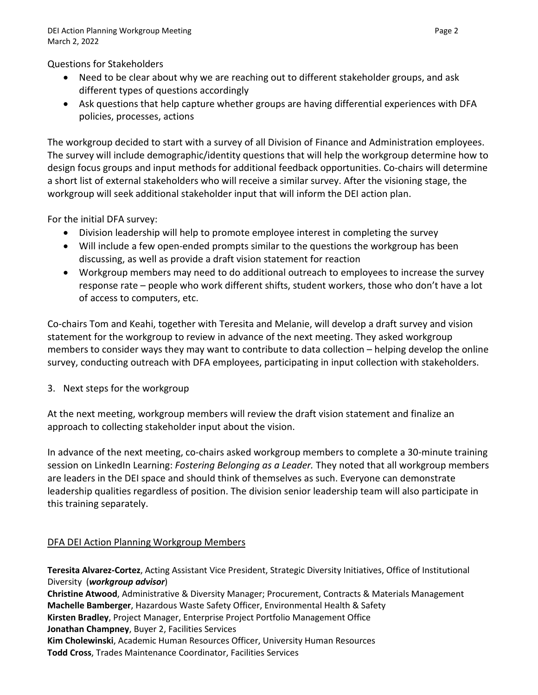Questions for Stakeholders

- Need to be clear about why we are reaching out to different stakeholder groups, and ask different types of questions accordingly
- Ask questions that help capture whether groups are having differential experiences with DFA policies, processes, actions

The workgroup decided to start with a survey of all Division of Finance and Administration employees. The survey will include demographic/identity questions that will help the workgroup determine how to design focus groups and input methods for additional feedback opportunities. Co-chairs will determine a short list of external stakeholders who will receive a similar survey. After the visioning stage, the workgroup will seek additional stakeholder input that will inform the DEI action plan.

For the initial DFA survey:

- Division leadership will help to promote employee interest in completing the survey
- Will include a few open-ended prompts similar to the questions the workgroup has been discussing, as well as provide a draft vision statement for reaction
- Workgroup members may need to do additional outreach to employees to increase the survey response rate – people who work different shifts, student workers, those who don't have a lot of access to computers, etc.

Co-chairs Tom and Keahi, together with Teresita and Melanie, will develop a draft survey and vision statement for the workgroup to review in advance of the next meeting. They asked workgroup members to consider ways they may want to contribute to data collection – helping develop the online survey, conducting outreach with DFA employees, participating in input collection with stakeholders.

3. Next steps for the workgroup

At the next meeting, workgroup members will review the draft vision statement and finalize an approach to collecting stakeholder input about the vision.

In advance of the next meeting, co-chairs asked workgroup members to complete a 30-minute training session on LinkedIn Learning: *Fostering Belonging as a Leader.* They noted that all workgroup members are leaders in the DEI space and should think of themselves as such. Everyone can demonstrate leadership qualities regardless of position. The division senior leadership team will also participate in this training separately.

### DFA DEI Action Planning Workgroup Members

**Teresita Alvarez-Cortez**, Acting Assistant Vice President, Strategic Diversity Initiatives, Office of Institutional Diversity (*workgroup advisor*) **Christine Atwood**, Administrative & Diversity Manager; Procurement, Contracts & Materials Management **Machelle Bamberger**, Hazardous Waste Safety Officer, Environmental Health & Safety **Kirsten Bradley**, Project Manager, Enterprise Project Portfolio Management Office **Jonathan Champney**, Buyer 2, Facilities Services **Kim Cholewinski**, Academic Human Resources Officer, University Human Resources **Todd Cross**, Trades Maintenance Coordinator, Facilities Services